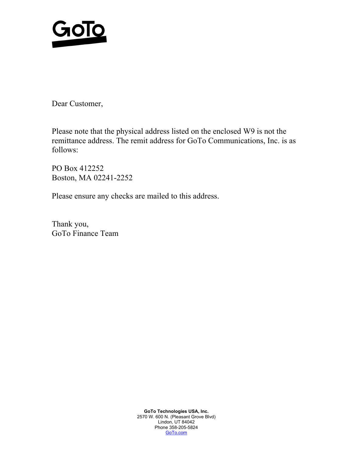

Dear Customer,

Please note that the physical address listed on the enclosed W9 is not the remittance address. The remit address for GoTo Communications, Inc. is as follows:

PO Box 412252 Boston, MA 02241-2252

Please ensure any checks are mailed to this address.

Thank you, GoTo Finance Team

> **GoTo Technologies USA, Inc.**  2570 W. 600 N. (Pleasant Grove Blvd) Lindon, UT 84042 Phone 358-205-5824 GoTo.com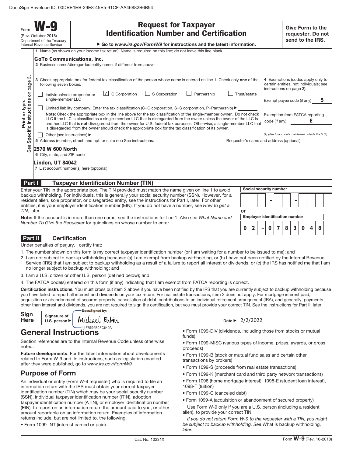Form **W-9** (Rev. October 2018) Department of the Treasury Internal Revenue Service

| <b>Request for Taxpayer</b>                    |  |  |
|------------------------------------------------|--|--|
| <b>Identification Number and Certification</b> |  |  |

▶ Go to *www.irs.gov/FormW9* for instructions and the latest information.

|                                                                                                                                                                                                                                                                                                                                   | 1 Name (as shown on your income tax return). Name is required on this line; do not leave this line blank.                                                                                                                                      |                                                                                                         |  |
|-----------------------------------------------------------------------------------------------------------------------------------------------------------------------------------------------------------------------------------------------------------------------------------------------------------------------------------|------------------------------------------------------------------------------------------------------------------------------------------------------------------------------------------------------------------------------------------------|---------------------------------------------------------------------------------------------------------|--|
|                                                                                                                                                                                                                                                                                                                                   | GoTo Communications, Inc.                                                                                                                                                                                                                      |                                                                                                         |  |
|                                                                                                                                                                                                                                                                                                                                   | 2 Business name/disregarded entity name, if different from above                                                                                                                                                                               |                                                                                                         |  |
|                                                                                                                                                                                                                                                                                                                                   |                                                                                                                                                                                                                                                |                                                                                                         |  |
| က<br>page<br>δ                                                                                                                                                                                                                                                                                                                    | 3 Check appropriate box for federal tax classification of the person whose name is entered on line 1. Check only one of the<br>following seven boxes.                                                                                          | 4 Exemptions (codes apply only to<br>certain entities, not individuals; see<br>instructions on page 3): |  |
|                                                                                                                                                                                                                                                                                                                                   | $\cup$ C Corporation<br>S Corporation<br>Trust/estate<br>Partnership<br>Individual/sole proprietor or<br>single-member LLC                                                                                                                     | Exempt payee code (if any)<br>b                                                                         |  |
| Print or type.                                                                                                                                                                                                                                                                                                                    | Limited liability company. Enter the tax classification (C=C corporation, S=S corporation, P=Partnership) $\blacktriangleright$                                                                                                                |                                                                                                         |  |
|                                                                                                                                                                                                                                                                                                                                   | Note: Check the appropriate box in the line above for the tax classification of the single-member owner. Do not check<br>LLC if the LLC is classified as a single-member LLC that is disregarded from the owner unless the owner of the LLC is | Exemption from FATCA reporting                                                                          |  |
| Specific Instructions                                                                                                                                                                                                                                                                                                             | another LLC that is not disregarded from the owner for U.S. federal tax purposes. Otherwise, a single-member LLC that<br>is disregarded from the owner should check the appropriate box for the tax classification of its owner.               | E<br>code (if any)                                                                                      |  |
|                                                                                                                                                                                                                                                                                                                                   | Other (see instructions) ▶                                                                                                                                                                                                                     | (Applies to accounts maintained outside the U.S.)                                                       |  |
|                                                                                                                                                                                                                                                                                                                                   | 5 Address (number, street, and apt. or suite no.) See instructions.                                                                                                                                                                            | Requester's name and address (optional)                                                                 |  |
| See                                                                                                                                                                                                                                                                                                                               | 2570 W 600 North                                                                                                                                                                                                                               |                                                                                                         |  |
|                                                                                                                                                                                                                                                                                                                                   | 6 City, state, and ZIP code                                                                                                                                                                                                                    |                                                                                                         |  |
|                                                                                                                                                                                                                                                                                                                                   | Lindon, UT 84042                                                                                                                                                                                                                               |                                                                                                         |  |
| 7 List account number(s) here (optional)                                                                                                                                                                                                                                                                                          |                                                                                                                                                                                                                                                |                                                                                                         |  |
|                                                                                                                                                                                                                                                                                                                                   |                                                                                                                                                                                                                                                |                                                                                                         |  |
| Part I                                                                                                                                                                                                                                                                                                                            | <b>Taxpayer Identification Number (TIN)</b>                                                                                                                                                                                                    |                                                                                                         |  |
|                                                                                                                                                                                                                                                                                                                                   | Enter your TIN in the appropriate box. The TIN provided must match the name given on line 1 to avoid                                                                                                                                           | Social security number                                                                                  |  |
| backup withholding. For individuals, this is generally your social security number (SSN). However, for a<br>resident alien, sole proprietor, or disregarded entity, see the instructions for Part I, later. For other<br>entities, it is your employer identification number (EIN). If you do not have a number, see How to get a |                                                                                                                                                                                                                                                |                                                                                                         |  |
| TIN, later.                                                                                                                                                                                                                                                                                                                       | or                                                                                                                                                                                                                                             |                                                                                                         |  |

**Note:** If the account is in more than one name, see the instructions for line 1. Also see What Name and Number To Give the Requester for guidelines on whose number to enter.

Under penalties of perjury, I certify that:

- 1. The number shown on this form is my correct taxpayer identification number (or I am waiting for a number to be issued to me); and
- 2. I am not subject to backup withholding because: (a) I am exempt from backup withholding, or (b) I have not been notified by the Internal Revenue Service (IRS) that I am subject to backup withholding as a result of a failure to report all interest or dividends, or (c) the IRS has notified me that I am no longer subject to backup withholding; and
- 3. I am a U.S. citizen or other U.S. person (defined below); and
- 4. The FATCA code(s) entered on this form (if any) indicating that I am exempt from FATCA reporting is correct.

**Certification instructions.** You must cross out item 2 above if you have been notified by the IRS that you are currently subject to backup withholding because you have failed to report all interest and dividends on your tax return. For real estate transactions, item 2 does not apply. For mortgage interest paid, acquisition or abandonment of secured property, cancellation of debt, contributions to an individual retirement arrangement (IRA), and generally, payments other than interest and dividends, you are not required to sign the certification, but you must provide your correct TIN. See the instructions for Part II, later.

| Sign<br><b>Here</b> | Signature of<br>U.S. person $\blacktriangleright$ | •Docusigned by:<br>Michael<br>Kubin | Date $\blacktriangleright$ |
|---------------------|---------------------------------------------------|-------------------------------------|----------------------------|
|                     |                                                   |                                     |                            |

# **General Instructions**

Section references are to the Internal Revenue Code unless otherwise noted.

**Future developments**. For the latest information about developments related to Form W-9 and its instructions, such as legislation enacted after they were published, go to www.irs.gov/FormW9.

### **Purpose of Form**

An individual or entity (Form W-9 requester) who is required to file an information return with the IRS must obtain your correct taxpayer identification number (TIN) which may be your social security number (SSN), individual taxpayer identification number (ITIN), adoption taxpayer identification number (ATIN), or employer identification number (EIN), to report on an information return the amount paid to you, or other amount reportable on an information return. Examples of information returns include, but are not limited to, the following.

• Form 1099-INT (interest earned or paid)

### Date ▶ 2/2/2022

- Form 1099-DIV (dividends, including those from stocks or mutual funds)
- Form 1099-MISC (various types of income, prizes, awards, or gross proceeds)

**Employer identification number**

**0 2 0783048**

**–**

- Form 1099-B (stock or mutual fund sales and certain other transactions by brokers)
- Form 1099-S (proceeds from real estate transactions)
- Form 1099-K (merchant card and third party network transactions)
- Form 1098 (home mortgage interest), 1098-E (student loan interest),
- 1098-T (tuition)
- Form 1099-C (canceled debt)
- Form 1099-A (acquisition or abandonment of secured property)
- Use Form W-9 only if you are a U.S. person (including a resident alien), to provide your correct TIN.

If you do not return Form W-9 to the requester with a TIN, you might be subject to backup withholding. See What is backup withholding, **later**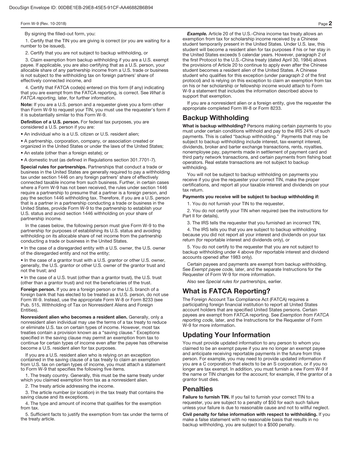By signing the filled-out form, you:

1. Certify that the TIN you are giving is correct (or you are waiting for a number to be issued),

2. Certify that you are not subject to backup withholding, or

3. Claim exemption from backup withholding if you are a U.S. exempt payee. If applicable, you are also certifying that as a U.S. person, your allocable share of any partnership income from a U.S. trade or business is not subject to the withholding tax on foreign partners' share of effectively connected income, and

4. Certify that FATCA code(s) entered on this form (if any) indicating that you are exempt from the FATCA reporting, is correct. See What is FATCA reporting, later, for further information.

**Note:** If you are a U.S. person and a requester gives you a form other than Form W-9 to request your TIN, you must use the requester's form if it is substantially similar to this Form W-9.

**Definition of a U.S. person.** For federal tax purposes, you are considered a U.S. person if you are:

• An individual who is a U.S. citizen or U.S. resident alien;

• A partnership, corporation, company, or association created or organized in the United States or under the laws of the United States;

• An estate (other than a foreign estate); or

• A domestic trust (as defined in Regulations section 301.7701-7).

**Special rules for partnerships.** Partnerships that conduct a trade or business in the United States are generally required to pay a withholding tax under section 1446 on any foreign partners' share of effectively connected taxable income from such business. Further, in certain cases where a Form W-9 has not been received, the rules under section 1446 require a partnership to presume that a partner is a foreign person, and pay the section 1446 withholding tax. Therefore, if you are a U.S. person that is a partner in a partnership conducting a trade or business in the United States, provide Form W-9 to the partnership to establish your U.S. status and avoid section 1446 withholding on your share of partnership income.

In the cases below, the following person must give Form W-9 to the partnership for purposes of establishing its U.S. status and avoiding withholding on its allocable share of net income from the partnership conducting a trade or business in the United States.

• In the case of a disregarded entity with a U.S. owner, the U.S. owner of the disregarded entity and not the entity;

• In the case of a grantor trust with a U.S. grantor or other U.S. owner, generally, the U.S. grantor or other U.S. owner of the grantor trust and not the trust; and

• In the case of a U.S. trust (other than a grantor trust), the U.S. trust (other than a grantor trust) and not the beneficiaries of the trust.

**Foreign person.** If you are a foreign person or the U.S. branch of a foreign bank that has elected to be treated as a U.S. person, do not use Form W-9. Instead, use the appropriate Form W-8 or Form 8233 (see Pub. 515, Withholding of Tax on Nonresident Aliens and Foreign Entities).

**Nonresident alien who becomes a resident alien.** Generally, only a nonresident alien individual may use the terms of a tax treaty to reduce or eliminate U.S. tax on certain types of income. However, most tax treaties contain a provision known as a "saving clause." Exceptions specified in the saving clause may permit an exemption from tax to continue for certain types of income even after the payee has otherwise become a U.S. resident alien for tax purposes.

If you are a U.S. resident alien who is relying on an exception contained in the saving clause of a tax treaty to claim an exemption from U.S. tax on certain types of income, you must attach a statement to Form W-9 that specifies the following five items.

1. The treaty country. Generally, this must be the same treaty under which you claimed exemption from tax as a nonresident alien.

2. The treaty article addressing the income.

3. The article number (or location) in the tax treaty that contains the saving clause and its exceptions.

4. The type and amount of income that qualifies for the exemption from tax.

5. Sufficient facts to justify the exemption from tax under the terms of the treaty article.

**Example.** Article 20 of the U.S.-China income tax treaty allows an exemption from tax for scholarship income received by a Chinese student temporarily present in the United States. Under U.S. law, this student will become a resident alien for tax purposes if his or her stay in the United States exceeds 5 calendar years. However, paragraph 2 of the first Protocol to the U.S.-China treaty (dated April 30, 1984) allows the provisions of Article 20 to continue to apply even after the Chinese student becomes a resident alien of the United States. A Chinese student who qualifies for this exception (under paragraph 2 of the first protocol) and is relying on this exception to claim an exemption from tax on his or her scholarship or fellowship income would attach to Form W-9 a statement that includes the information described above to support that exemption.

If you are a nonresident alien or a foreign entity, give the requester the appropriate completed Form W-8 or Form 8233.

### **Backup Withholding**

**What is backup withholding?** Persons making certain payments to you must under certain conditions withhold and pay to the IRS 24% of such payments. This is called "backup withholding." Payments that may be subject to backup withholding include interest, tax-exempt interest, dividends, broker and barter exchange transactions, rents, royalties, nonemployee pay, payments made in settlement of payment card and third party network transactions, and certain payments from fishing boat operators. Real estate transactions are not subject to backup withholding.

You will not be subject to backup withholding on payments you receive if you give the requester your correct TIN, make the proper certifications, and report all your taxable interest and dividends on your tax return.

#### **Payments you receive will be subject to backup withholding if:**

1. You do not furnish your TIN to the requester,

2. You do not certify your TIN when required (see the instructions for Part II for details),

3. The IRS tells the requester that you furnished an incorrect TIN,

4. The IRS tells you that you are subject to backup withholding because you did not report all your interest and dividends on your tax return (for reportable interest and dividends only), or

5. You do not certify to the requester that you are not subject to backup withholding under 4 above (for reportable interest and dividend accounts opened after 1983 only).

Certain payees and payments are exempt from backup withholding. See Exempt payee code, later, and the separate Instructions for the Requester of Form W-9 for more information.

Also see Special rules for partnerships, earlier.

### **What is FATCA Reporting?**

The Foreign Account Tax Compliance Act (FATCA) requires a participating foreign financial institution to report all United States account holders that are specified United States persons. Certain payees are exempt from FATCA reporting. See Exemption from FATCA reporting code, later, and the Instructions for the Requester of Form W-9 for more information.

### **Updating Your Information**

You must provide updated information to any person to whom you claimed to be an exempt payee if you are no longer an exempt payee and anticipate receiving reportable payments in the future from this person. For example, you may need to provide updated information if you are a C corporation that elects to be an S corporation, or if you no longer are tax exempt. In addition, you must furnish a new Form W-9 if the name or TIN changes for the account; for example, if the grantor of a grantor trust dies.

### **Penalties**

**Failure to furnish TIN.** If you fail to furnish your correct TIN to a requester, you are subject to a penalty of \$50 for each such failure unless your failure is due to reasonable cause and not to willful neglect.

**Civil penalty for false information with respect to withholding.** If you make a false statement with no reasonable basis that results in no backup withholding, you are subject to a \$500 penalty.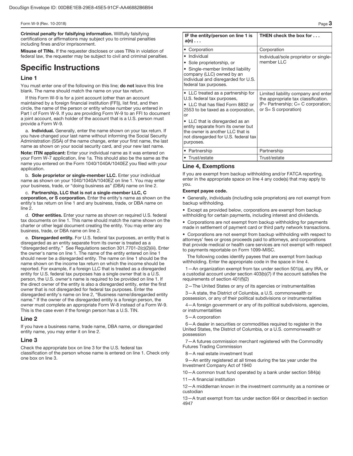**Criminal penalty for falsifying information.** Willfully falsifying certifications or affirmations may subject you to criminal penalties including fines and/or imprisonment.

**Misuse of TINs.** If the requester discloses or uses TINs in violation of federal law, the requester may be subject to civil and criminal penalties.

## **Specific Instructions**

#### **Line 1**

You must enter one of the following on this line; **do not** leave this line blank. The name should match the name on your tax return.

If this Form W-9 is for a joint account (other than an account maintained by a foreign financial institution (FFI)), list first, and then circle, the name of the person or entity whose number you entered in Part I of Form W-9. If you are providing Form W-9 to an FFI to document a joint account, each holder of the account that is a U.S. person must provide a Form W-9.

a. **Individual.** Generally, enter the name shown on your tax return. If you have changed your last name without informing the Social Security Administration (SSA) of the name change, enter your first name, the last name as shown on your social security card, and your new last name.

**Note: ITIN applicant:** Enter your individual name as it was entered on your Form W-7 application, line 1a. This should also be the same as the name you entered on the Form 1040/1040A/1040EZ you filed with your application.

b. **Sole proprietor or single-member LLC.** Enter your individual name as shown on your 1040/1040A/1040EZ on line 1. You may enter your business, trade, or "doing business as" (DBA) name on line 2.

c. **Partnership, LLC that is not a single-member LLC, C corporation, or S corporation.** Enter the entity's name as shown on the entity's tax return on line 1 and any business, trade, or DBA name on line 2.

d. **Other entities.** Enter your name as shown on required U.S. federal tax documents on line 1. This name should match the name shown on the charter or other legal document creating the entity. You may enter any business, trade, or DBA name on line 2.

e. **Disregarded entity.** For U.S. federal tax purposes, an entity that is disregarded as an entity separate from its owner is treated as a "disregarded entity." See Regulations section 301.7701-2(c)(2)(iii). Enter the owner's name on line 1. The name of the entity entered on line 1 should never be a disregarded entity. The name on line 1 should be the name shown on the income tax return on which the income should be reported. For example, if a foreign LLC that is treated as a disregarded entity for U.S. federal tax purposes has a single owner that is a U.S. person, the U.S. owner's name is required to be provided on line 1. If the direct owner of the entity is also a disregarded entity, enter the first owner that is not disregarded for federal tax purposes. Enter the disregarded entity's name on line 2, "Business name/disregarded entity name." If the owner of the disregarded entity is a foreign person, the owner must complete an appropriate Form W-8 instead of a Form W-9. This is the case even if the foreign person has a U.S. TIN.

#### **Line 2**

If you have a business name, trade name, DBA name, or disregarded entity name, you may enter it on line 2.

#### **Line 3**

Check the appropriate box on line 3 for the U.S. federal tax classification of the person whose name is entered on line 1. Check only one box on line 3.

| IF the entity/person on line 1 is<br>$a(n) \ldots$                                                                                                                                                                                                                                                                  | THEN check the box for                                                                                                                            |
|---------------------------------------------------------------------------------------------------------------------------------------------------------------------------------------------------------------------------------------------------------------------------------------------------------------------|---------------------------------------------------------------------------------------------------------------------------------------------------|
| • Corporation                                                                                                                                                                                                                                                                                                       | Corporation                                                                                                                                       |
| • Individual<br>• Sole proprietorship, or<br>• Single-member limited liability<br>company (LLC) owned by an<br>individual and disregarded for U.S.<br>federal tax purposes.                                                                                                                                         | Individual/sole proprietor or single-<br>member LLC                                                                                               |
| • LLC treated as a partnership for<br>U.S. federal tax purposes,<br>• LLC that has filed Form 8832 or<br>2553 to be taxed as a corporation,<br>or<br>• LLC that is disregarded as an<br>entity separate from its owner but<br>the owner is another LLC that is<br>not disregarded for U.S. federal tax<br>purposes. | Limited liability company and enter<br>the appropriate tax classification.<br>$(P =$ Partnership; $C = C$ corporation;<br>or $S = S$ corporation) |
| • Partnership                                                                                                                                                                                                                                                                                                       | Partnership                                                                                                                                       |
| • Trust/estate                                                                                                                                                                                                                                                                                                      | Trust/estate                                                                                                                                      |

#### **Line 4, Exemptions**

If you are exempt from backup withholding and/or FATCA reporting, enter in the appropriate space on line 4 any code(s) that may apply to you.

#### **Exempt payee code.**

• Generally, individuals (including sole proprietors) are not exempt from backup withholding.

• Except as provided below, corporations are exempt from backup withholding for certain payments, including interest and dividends.

• Corporations are not exempt from backup withholding for payments made in settlement of payment card or third party network transactions.

• Corporations are not exempt from backup withholding with respect to attorneys' fees or gross proceeds paid to attorneys, and corporations that provide medical or health care services are not exempt with respect to payments reportable on Form 1099-MISC.

The following codes identify payees that are exempt from backup withholding. Enter the appropriate code in the space in line 4.

1—An organization exempt from tax under section 501(a), any IRA, or a custodial account under section 403(b)(7) if the account satisfies the requirements of section 401(f)(2)

2—The United States or any of its agencies or instrumentalities

3—A state, the District of Columbia, a U.S. commonwealth or possession, or any of their political subdivisions or instrumentalities

4—A foreign government or any of its political subdivisions, agencies, or instrumentalities

#### 5—A corporation

6—A dealer in securities or commodities required to register in the United States, the District of Columbia, or a U.S. commonwealth or possession

7—A futures commission merchant registered with the Commodity Futures Trading Commission

8—A real estate investment trust

9—An entity registered at all times during the tax year under the Investment Company Act of 1940

10—A common trust fund operated by a bank under section 584(a)

11—A financial institution

12—A middleman known in the investment community as a nominee or custodian

13—A trust exempt from tax under section 664 or described in section 4947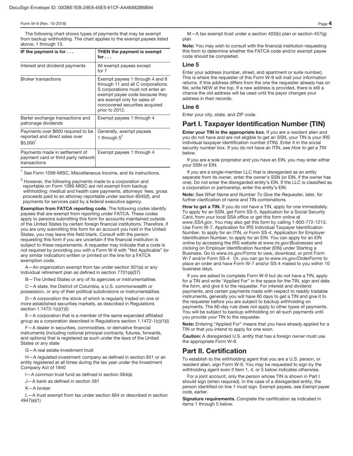The following chart shows types of payments that may be exempt from backup withholding. The chart applies to the exempt payees listed above, 1 through 13.

| IF the payment is for $\dots$                                                         | <b>THEN the payment is exempt</b><br>for $\dots$                                                                                                                                                                                |
|---------------------------------------------------------------------------------------|---------------------------------------------------------------------------------------------------------------------------------------------------------------------------------------------------------------------------------|
| Interest and dividend payments                                                        | All exempt payees except<br>for $7$                                                                                                                                                                                             |
| <b>Broker transactions</b>                                                            | Exempt payees 1 through 4 and 6<br>through 11 and all C corporations.<br>S corporations must not enter an<br>exempt payee code because they<br>are exempt only for sales of<br>noncovered securities acquired<br>prior to 2012. |
| Barter exchange transactions and<br>patronage dividends                               | Exempt payees 1 through 4                                                                                                                                                                                                       |
| Payments over \$600 required to be<br>reported and direct sales over<br>$$5,000^1$    | Generally, exempt payees<br>1 through $5^2$                                                                                                                                                                                     |
| Payments made in settlement of<br>payment card or third party network<br>transactions | Exempt payees 1 through 4                                                                                                                                                                                                       |

 $<sup>1</sup>$  See Form 1099-MISC, Miscellaneous Income, and its instructions.</sup>

 $^2$  However, the following payments made to a corporation and reportable on Form 1099-MISC are not exempt from backup withholding: medical and health care payments, attorneys' fees, gross proceeds paid to an attorney reportable under section 6045(f), and payments for services paid by a federal executive agency.

**Exemption from FATCA reporting code.** The following codes identify payees that are exempt from reporting under FATCA. These codes apply to persons submitting this form for accounts maintained outside of the United States by certain foreign financial institutions. Therefore, if you are only submitting this form for an account you hold in the United States, you may leave this field blank. Consult with the person requesting this form if you are uncertain if the financial institution is subject to these requirements. A requester may indicate that a code is not required by providing you with a Form W-9 with "Not Applicable" (or any similar indication) written or printed on the line for a FATCA exemption code.

A—An organization exempt from tax under section 501(a) or any individual retirement plan as defined in section 7701(a)(37)

- The United States or any of its agencies or instrumentalities

C—A state, the District of Columbia, a U.S. commonwealth or possession, or any of their political subdivisions or instrumentalities

D—A corporation the stock of which is regularly traded on one or more established securities markets, as described in Regulations section 1.1472-1(c)(1)(i)

E—A corporation that is a member of the same expanded affiliated group as a corporation described in Regulations section 1.1472-1(c)(1)(i)

F—A dealer in securities, commodities, or derivative financial instruments (including notional principal contracts, futures, forwards, and options) that is registered as such under the laws of the United States or any state

G—A real estate investment trust

H—A regulated investment company as defined in section 851 or an entity registered at all times during the tax year under the Investment Company Act of 1940

I—A common trust fund as defined in section 584(a)

J—A bank as defined in section 581

K—A broker

L—A trust exempt from tax under section 664 or described in section 4947(a)(1)

M—A tax exempt trust under a section 403(b) plan or section 457(g) plan

**Note:** You may wish to consult with the financial institution requesting this form to determine whether the FATCA code and/or exempt payee code should be completed.

#### **Line 5**

Enter your address (number, street, and apartment or suite number). This is where the requester of this Form W-9 will mail your information returns. If this address differs from the one the requester already has on file, write NEW at the top. If a new address is provided, there is still a chance the old address will be used until the payor changes your address in their records.

#### **Line 6**

Enter your city, state, and ZIP code.

### **Part I. Taxpayer Identification Number (TIN)**

**Enter your TIN in the appropriate box.** If you are a resident alien and you do not have and are not eligible to get an SSN, your TIN is your IRS individual taxpayer identification number (ITIN). Enter it in the social security number box. If you do not have an ITIN, see How to get a TIN below.

If you are a sole proprietor and you have an EIN, you may enter either your SSN or EIN.

If you are a single-member LLC that is disregarded as an entity separate from its owner, enter the owner's SSN (or EIN, if the owner has one). Do not enter the disregarded entity's EIN. If the LLC is classified as a corporation or partnership, enter the entity's EIN.

**Note:** See What Name and Number To Give the Requester, later, for further clarification of name and TIN combinations.

**How to get a TIN.** If you do not have a TIN, apply for one immediately. To apply for an SSN, get Form SS-5, Application for a Social Security Card, from your local SSA office or get this form online at www.SSA.gov. You may also get this form by calling 1-800-772-1213. Use Form W-7, Application for IRS Individual Taxpayer Identification Number, to apply for an ITIN, or Form SS-4, Application for Employer Identification Number, to apply for an EIN. You can apply for an EIN online by accessing the IRS website at www.irs.gov/Businesses and clicking on Employer Identification Number (EIN) under Starting a Business. Go to www.irs.gov/Forms to view, download, or print Form W-7 and/or Form SS-4. Or, you can go to www.irs.gov/OrderForms to place an order and have Form W-7 and/or SS-4 mailed to you within 10 business days.

If you are asked to complete Form W-9 but do not have a TIN, apply for a TIN and write "Applied For" in the space for the TIN, sign and date the form, and give it to the requester. For interest and dividend payments, and certain payments made with respect to readily tradable instruments, generally you will have 60 days to get a TIN and give it to the requester before you are subject to backup withholding on payments. The 60-day rule does not apply to other types of payments. You will be subject to backup withholding on all such payments until you provide your TIN to the requester.

**Note:** Entering "Applied For" means that you have already applied for a TIN or that you intend to apply for one soon.

**Caution:** A disregarded U.S. entity that has a foreign owner must use the appropriate Form W-8.

### **Part II. Certification**

To establish to the withholding agent that you are a U.S. person, or resident alien, sign Form W-9. You may be requested to sign by the withholding agent even if item 1, 4, or 5 below indicates otherwise.

For a joint account, only the person whose TIN is shown in Part I should sign (when required). In the case of a disregarded entity, the person identified on line 1 must sign. Exempt payees, see Exempt payee code, earlier.

**Signature requirements.** Complete the certification as indicated in items 1 through 5 below.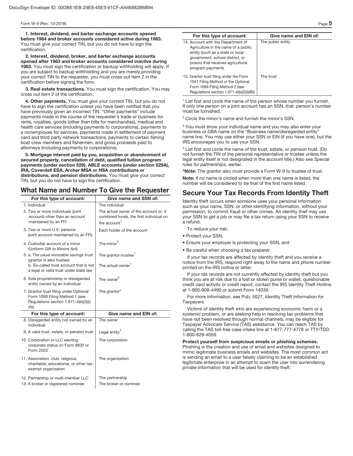**1. Interest, dividend, and barter exchange accounts opened before 1984 and broker accounts considered active during 1983.**  You must give your correct TIN, but you do not have to sign the certification.

**2. Interest, dividend, broker, and barter exchange accounts opened after 1983 and broker accounts considered inactive during 1983.** You must sign the certification or backup withholding will apply. If you are subject to backup withholding and you are merely providing your correct TIN to the requester, you must cross out item 2 in the certification before signing the form.

**3. Real estate transactions.** You must sign the certification. You may cross out item 2 of the certification.

**4. Other payments.** You must give your correct TIN, but you do not have to sign the certification unless you have been notified that you have previously given an incorrect TIN. "Other payments" include payments made in the course of the requester's trade or business for rents, royalties, goods (other than bills for merchandise), medical and health care services (including payments to corporations), payments to a nonemployee for services, payments made in settlement of payment card and third party network transactions, payments to certain fishing boat crew members and fishermen, and gross proceeds paid to attorneys (including payments to corporations).

**5. Mortgage interest paid by you, acquisition or abandonment of secured property, cancellation of debt, qualified tuition program payments (under section 529), ABLE accounts (under section 529A), IRA, Coverdell ESA, Archer MSA or HSA contributions or distributions, and pension distributions.** You must give your correct TIN, but you do not have to sign the certification.

### **What Name and Number To Give the Requester**

| For this type of account:                                                                                                | Give name and SSN of:                                                                                         |
|--------------------------------------------------------------------------------------------------------------------------|---------------------------------------------------------------------------------------------------------------|
| 1. Individual                                                                                                            | The individual                                                                                                |
| 2. Two or more individuals (joint<br>account) other than an account<br>maintained by an FFI                              | The actual owner of the account or, if<br>combined funds, the first individual on<br>the account <sup>1</sup> |
| 3. Two or more U.S. persons<br>(joint account maintained by an FFI)                                                      | Each holder of the account                                                                                    |
| 4. Custodial account of a minor<br>(Uniform Gift to Minors Act)                                                          | The minor <sup>2</sup>                                                                                        |
| 5. a. The usual revocable savings trust<br>(grantor is also trustee)                                                     | The grantor-trustee <sup>1</sup>                                                                              |
| b. So-called trust account that is not<br>a legal or valid trust under state law                                         | The actual owner <sup>1</sup>                                                                                 |
| 6. Sole proprietorship or disregarded<br>entity owned by an individual                                                   | The owner $^3$                                                                                                |
| 7. Grantor trust filing under Optional<br>Form 1099 Filing Method 1 (see<br>Regulations section 1.671-4(b)(2)(i)<br>(A)) | The grantor*                                                                                                  |
| For this type of account:                                                                                                | Give name and EIN of:                                                                                         |
| 8. Disregarded entity not owned by an<br>individual                                                                      | The owner                                                                                                     |
| 9. A valid trust, estate, or pension trust                                                                               | Legal entity <sup>4</sup>                                                                                     |
| 10. Corporation or LLC electing<br>corporate status on Form 8832 or<br>Form 2553                                         | The corporation                                                                                               |
| 11. Association, club, religious,<br>charitable, educational, or other tax-<br>exempt organization                       | The organization                                                                                              |
| 12. Partnership or multi-member LLC<br>13. A broker or registered nominee                                                | The partnership<br>The broker or nominee                                                                      |

| For this type of account:                                                                                                                                                                                  | Give name and EIN of: |  |
|------------------------------------------------------------------------------------------------------------------------------------------------------------------------------------------------------------|-----------------------|--|
| 14. Account with the Department of<br>Agriculture in the name of a public<br>entity (such as a state or local<br>government, school district, or<br>prison) that receives agricultural<br>program payments | The public entity     |  |
| 15. Grantor trust filing under the Form<br>1041 Filing Method or the Optional<br>Form 1099 Filing Method 2 (see<br>Regulations section $1.671 - 4(b)(2)(i)(B)$                                             | The trust             |  |

<sup>1</sup> List first and circle the name of the person whose number you furnish. If only one person on a joint account has an SSN, that person's number must be furnished.

<sup>2</sup> Circle the minor's name and furnish the minor's SSN.

<sup>3</sup> You must show your individual name and you may also enter your business or DBA name on the "Business name/disregarded entity" name line. You may use either your SSN or EIN (if you have one), but the IRS encourages you to use your SSN.

<sup>4</sup> List first and circle the name of the trust, estate, or pension trust. (Do not furnish the TIN of the personal representative or trustee unless the legal entity itself is not designated in the account title.) Also see Special rules for partnerships, earlier.

**\*Note:** The grantor also must provide a Form W-9 to trustee of trust.

**Note:** If no name is circled when more than one name is listed, the number will be considered to be that of the first name listed.

### **Secure Your Tax Records From Identity Theft**

Identity theft occurs when someone uses your personal information such as your name, SSN, or other identifying information, without your permission, to commit fraud or other crimes. An identity thief may use your SSN to get a job or may file a tax return using your SSN to receive a refund.

To reduce your risk:

- Protect your SSN,
- Ensure your employer is protecting your SSN, and
- Be careful when choosing a tax preparer.

If your tax records are affected by identity theft and you receive a notice from the IRS, respond right away to the name and phone number printed on the IRS notice or letter.

If your tax records are not currently affected by identity theft but you think you are at risk due to a lost or stolen purse or wallet, questionable credit card activity or credit report, contact the IRS Identity Theft Hotline at 1-800-908-4490 or submit Form 14039.

For more information, see Pub. 5027, Identity Theft Information for Taxpayers.

Victims of identity theft who are experiencing economic harm or a systemic problem, or are seeking help in resolving tax problems that have not been resolved through normal channels, may be eligible for Taxpayer Advocate Service (TAS) assistance. You can reach TAS by calling the TAS toll-free case intake line at 1-877-777-4778 or TTY/TDD 1-800-829-4059.

**Protect yourself from suspicious emails or phishing schemes.**  Phishing is the creation and use of email and websites designed to mimic legitimate business emails and websites. The most common act is sending an email to a user falsely claiming to be an established legitimate enterprise in an attempt to scam the user into surrendering private information that will be used for identity theft.